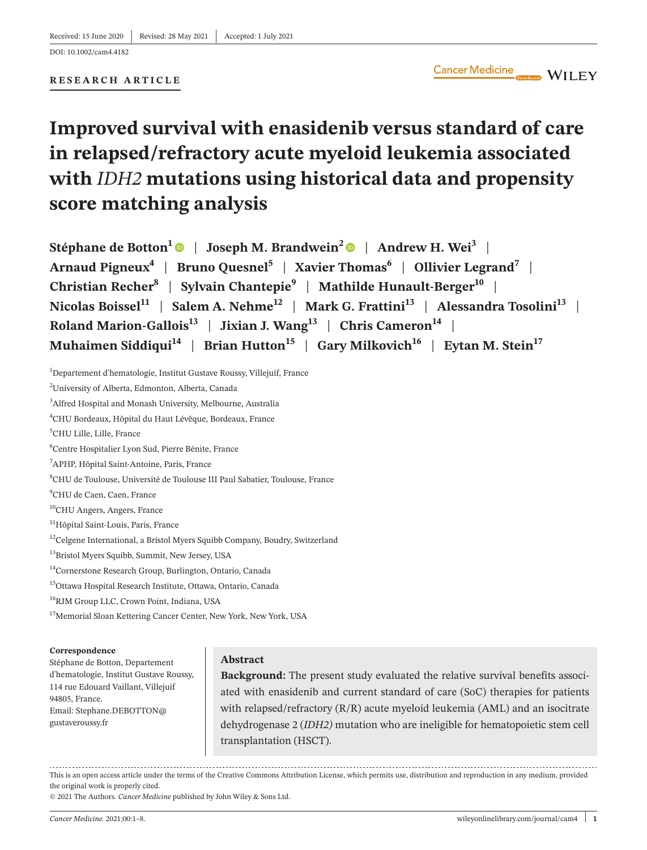#### **RESEARCH ARTICLE**

# **Improved survival with enasidenib versus standard of care in relapsed/refractory acute myeloid leukemia associated with** *IDH2* **mutations using historical data and propensity score matching analysis**

**Stéphane de Botton<sup>1</sup>**  $\bullet$  **| Joseph M. Brandwein<sup>[2](https://orcid.org/0000-0001-9095-8789)</sup>**  $\bullet$  **| Andrew H. Wei<sup>3</sup> | Arnaud Pigneux<sup>4</sup> | Bruno Quesnel<sup>5</sup> | Xavier Thomas<sup>6</sup> | Ollivier Legrand<sup>7</sup> | Christian Recher8** | **Sylvain Chantepie9** | **Mathilde Hunault-Berger10** | Nicolas Boissel<sup>11</sup> | Salem A. Nehme<sup>12</sup> | Mark G. Frattini<sup>13</sup> | Alessandra Tosolini<sup>13</sup> | **Roland Marion-Gallois<sup>13</sup> | Jixian J. Wang<sup>13</sup> | Chris Cameron<sup>14</sup> | Muhaimen Siddiqui<sup>14</sup> | Brian Hutton<sup>15</sup> | Gary Milkovich<sup>16</sup> | Eytan M. Stein<sup>17</sup>** 

<sup>1</sup>Departement d'hematologie, Institut Gustave Roussy, Villejuif, France

4 CHU Bordeaux, Hôpital du Haut Lévêque, Bordeaux, France

5 CHU Lille, Lille, France

6 Centre Hospitalier Lyon Sud, Pierre Bénite, France

- 7 APHP, Hôpital Saint-Antoine, Paris, France
- 8 CHU de Toulouse, Université de Toulouse III Paul Sabatier, Toulouse, France
- 9 CHU de Caen, Caen, France
- 10CHU Angers, Angers, France
- <sup>11</sup>Hôpital Saint-Louis, Paris, France
- <sup>12</sup>Celgene International, a Bristol Myers Squibb Company, Boudry, Switzerland
- <sup>13</sup>Bristol Myers Squibb, Summit, New Jersey, USA
- <sup>14</sup>Cornerstone Research Group, Burlington, Ontario, Canada
- 15Ottawa Hospital Research Institute, Ottawa, Ontario, Canada
- 16RJM Group LLC, Crown Point, Indiana, USA
- <sup>17</sup>Memorial Sloan Kettering Cancer Center, New York, New York, USA

#### **Correspondence**

Stéphane de Botton, Departement d'hematologie, Institut Gustave Roussy, 114 rue Edouard Vaillant, Villejuif 94805, France. Email: [Stephane.DEBOTTON@](mailto:Stephane.DEBOTTON@gustaveroussy.fr) [gustaveroussy.fr](mailto:Stephane.DEBOTTON@gustaveroussy.fr)

#### **Abstract**

**Background:** The present study evaluated the relative survival benefits associated with enasidenib and current standard of care (SoC) therapies for patients with relapsed/refractory (R/R) acute myeloid leukemia (AML) and an isocitrate dehydrogenase 2 (*IDH2)* mutation who are ineligible for hematopoietic stem cell transplantation (HSCT).

This is an open access article under the terms of the Creative Commons [Attribution](http://creativecommons.org/licenses/by/4.0/) License, which permits use, distribution and reproduction in any medium, provided the original work is properly cited.

© 2021 The Authors. *Cancer Medicine* published by John Wiley & Sons Ltd.

<sup>&</sup>lt;sup>2</sup>University of Alberta, Edmonton, Alberta, Canada

<sup>3</sup> Alfred Hospital and Monash University, Melbourne, Australia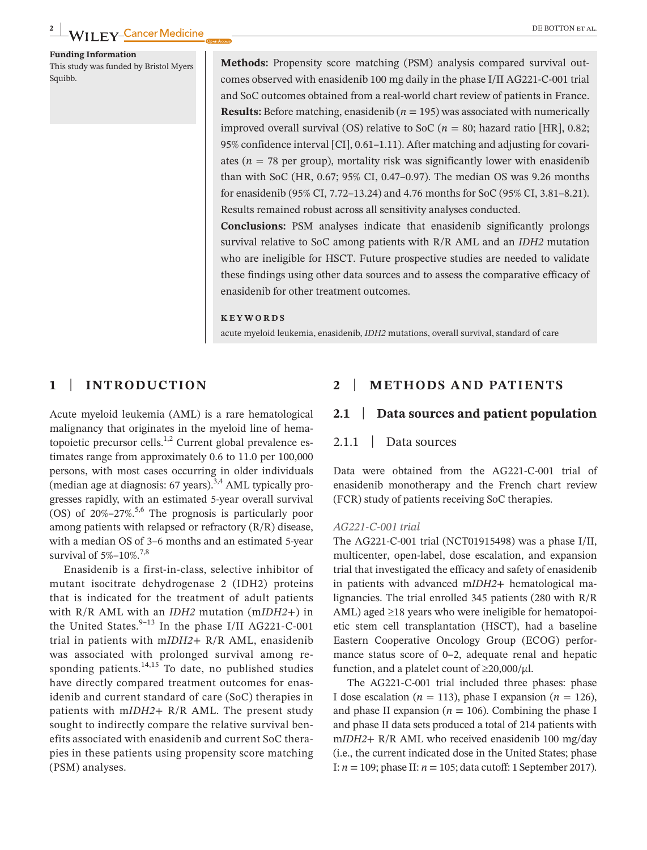**Funding Information** This study was funded by Bristol Myers

Squibb.

**Methods:** Propensity score matching (PSM) analysis compared survival outcomes observed with enasidenib 100 mg daily in the phase I/II AG221-C-001 trial and SoC outcomes obtained from a real-world chart review of patients in France. **Results:** Before matching, enasidenib ( $n = 195$ ) was associated with numerically improved overall survival (OS) relative to SoC ( $n = 80$ ; hazard ratio [HR], 0.82; 95% confidence interval [CI], 0.61–1.11). After matching and adjusting for covariates ( $n = 78$  per group), mortality risk was significantly lower with enasidenib than with SoC (HR, 0.67; 95% CI, 0.47–0.97). The median OS was 9.26 months for enasidenib (95% CI, 7.72–13.24) and 4.76 months for SoC (95% CI, 3.81–8.21). Results remained robust across all sensitivity analyses conducted.

**Conclusions:** PSM analyses indicate that enasidenib significantly prolongs survival relative to SoC among patients with R/R AML and an *IDH2* mutation who are ineligible for HSCT. Future prospective studies are needed to validate these findings using other data sources and to assess the comparative efficacy of enasidenib for other treatment outcomes.

#### **KEYWORDS**

acute myeloid leukemia, enasidenib, *IDH2* mutations, overall survival, standard of care

## **1** | **INTRODUCTION**

Acute myeloid leukemia (AML) is a rare hematological malignancy that originates in the myeloid line of hematopoietic precursor cells. $^{1,2}$  Current global prevalence estimates range from approximately 0.6 to 11.0 per 100,000 persons, with most cases occurring in older individuals (median age at diagnosis:  $67$  years).<sup>3,4</sup> AML typically progresses rapidly, with an estimated 5-year overall survival (OS) of  $20\% - 27\%$ <sup>5,6</sup> The prognosis is particularly poor among patients with relapsed or refractory (R/R) disease, with a median OS of 3–6 months and an estimated 5-year survival of  $5\% - 10\%$ <sup>7,8</sup>

Enasidenib is a first-in-class, selective inhibitor of mutant isocitrate dehydrogenase 2 (IDH2) proteins that is indicated for the treatment of adult patients with R/R AML with an *IDH2* mutation (m*IDH2*+) in the United States. $9-13$  In the phase I/II AG221-C-001 trial in patients with m*IDH2*+ R/R AML, enasidenib was associated with prolonged survival among responding patients. $14,15$  To date, no published studies have directly compared treatment outcomes for enasidenib and current standard of care (SoC) therapies in patients with m*IDH2*+ R/R AML. The present study sought to indirectly compare the relative survival benefits associated with enasidenib and current SoC therapies in these patients using propensity score matching (PSM) analyses.

## **2** | **METHODS AND PATIENTS**

## **2.1** | **Data sources and patient population**

#### 2.1.1 | Data sources

Data were obtained from the AG221-C-001 trial of enasidenib monotherapy and the French chart review (FCR) study of patients receiving SoC therapies.

#### *AG221-C-001 trial*

The AG221-C-001 trial (NCT01915498) was a phase I/II, multicenter, open-label, dose escalation, and expansion trial that investigated the efficacy and safety of enasidenib in patients with advanced m*IDH2*+ hematological malignancies. The trial enrolled 345 patients (280 with R/R AML) aged ≥18 years who were ineligible for hematopoietic stem cell transplantation (HSCT), had a baseline Eastern Cooperative Oncology Group (ECOG) performance status score of 0–2, adequate renal and hepatic function, and a platelet count of  $\geq$ 20,000/ $\mu$ l.

The AG221-C-001 trial included three phases: phase I dose escalation ( $n = 113$ ), phase I expansion ( $n = 126$ ), and phase II expansion ( $n = 106$ ). Combining the phase I and phase II data sets produced a total of 214 patients with m*IDH2*+ R/R AML who received enasidenib 100 mg/day (i.e., the current indicated dose in the United States; phase I: *n* = 109; phase II: *n* = 105; data cutoff: 1 September 2017).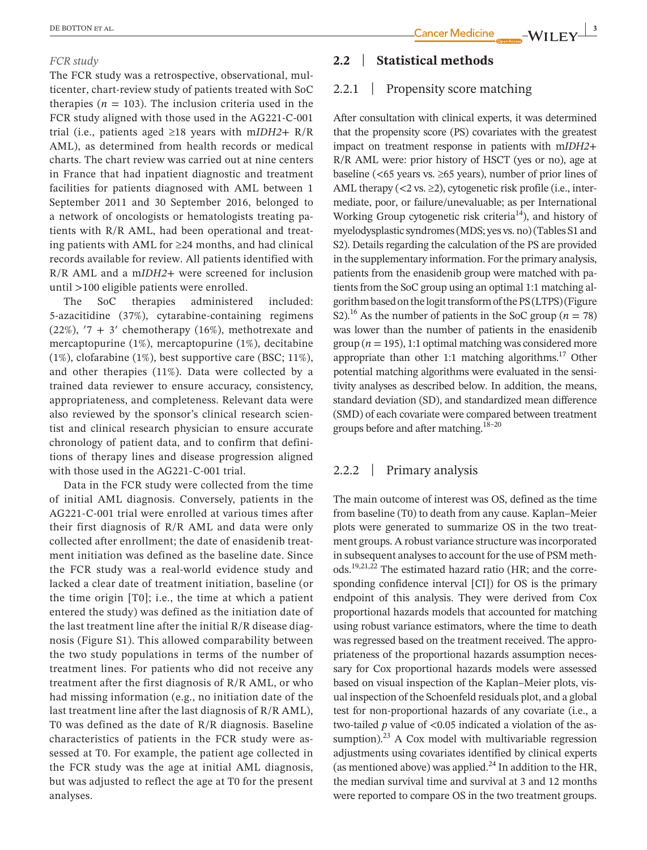#### *FCR study*

The FCR study was a retrospective, observational, multicenter, chart-review study of patients treated with SoC therapies ( $n = 103$ ). The inclusion criteria used in the FCR study aligned with those used in the AG221-C-001 trial (i.e., patients aged ≥18 years with m*IDH2*+ R/R AML), as determined from health records or medical charts. The chart review was carried out at nine centers in France that had inpatient diagnostic and treatment facilities for patients diagnosed with AML between 1 September 2011 and 30 September 2016, belonged to a network of oncologists or hematologists treating patients with R/R AML, had been operational and treating patients with AML for ≥24 months, and had clinical records available for review. All patients identified with R/R AML and a m*IDH2*+ were screened for inclusion until >100 eligible patients were enrolled.

The SoC therapies administered included: 5-azacitidine (37%), cytarabine-containing regimens  $(22\%)$ ,  $7 + 3'$  chemotherapy  $(16\%)$ , methotrexate and mercaptopurine (1%), mercaptopurine (1%), decitabine (1%), clofarabine (1%), best supportive care (BSC; 11%), and other therapies (11%). Data were collected by a trained data reviewer to ensure accuracy, consistency, appropriateness, and completeness. Relevant data were also reviewed by the sponsor's clinical research scientist and clinical research physician to ensure accurate chronology of patient data, and to confirm that definitions of therapy lines and disease progression aligned with those used in the AG221-C-001 trial.

Data in the FCR study were collected from the time of initial AML diagnosis. Conversely, patients in the AG221-C-001 trial were enrolled at various times after their first diagnosis of R/R AML and data were only collected after enrollment; the date of enasidenib treatment initiation was defined as the baseline date. Since the FCR study was a real-world evidence study and lacked a clear date of treatment initiation, baseline (or the time origin [T0]; i.e., the time at which a patient entered the study) was defined as the initiation date of the last treatment line after the initial R/R disease diagnosis (Figure S1). This allowed comparability between the two study populations in terms of the number of treatment lines. For patients who did not receive any treatment after the first diagnosis of R/R AML, or who had missing information (e.g., no initiation date of the last treatment line after the last diagnosis of R/R AML), T0 was defined as the date of R/R diagnosis. Baseline characteristics of patients in the FCR study were assessed at T0. For example, the patient age collected in the FCR study was the age at initial AML diagnosis, but was adjusted to reflect the age at T0 for the present analyses.

# **2.2** | **Statistical methods**

## 2.2.1 | Propensity score matching

After consultation with clinical experts, it was determined that the propensity score (PS) covariates with the greatest impact on treatment response in patients with m*IDH2*+ R/R AML were: prior history of HSCT (yes or no), age at baseline ( $\lt65$  years vs.  $\geq 65$  years), number of prior lines of AML therapy ( $\langle 2 \text{ vs. } \geq 2 \rangle$ , cytogenetic risk profile (i.e., intermediate, poor, or failure/unevaluable; as per International Working Group cytogenetic risk criteria<sup>14</sup>), and history of myelodysplastic syndromes(MDS; yes vs. no)(Tables S1 and S2). Details regarding the calculation of the PS are provided in the supplementary information. For the primary analysis, patients from the enasidenib group were matched with patients from the SoC group using an optimal 1:1 matching algorithm based on the logit transform of the PS(LTPS)(Figure S2).<sup>16</sup> As the number of patients in the SoC group ( $n = 78$ ) was lower than the number of patients in the enasidenib group ( $n = 195$ ), 1:1 optimal matching was considered more appropriate than other 1:1 matching algorithms.<sup>17</sup> Other potential matching algorithms were evaluated in the sensitivity analyses as described below. In addition, the means, standard deviation (SD), and standardized mean difference (SMD) of each covariate were compared between treatment groups before and after matching.18–20

## 2.2.2 | Primary analysis

The main outcome of interest was OS, defined as the time from baseline (T0) to death from any cause. Kaplan–Meier plots were generated to summarize OS in the two treatment groups. A robust variance structure was incorporated in subsequent analyses to account for the use of PSM methods.19,21,22 The estimated hazard ratio (HR; and the corresponding confidence interval [CI]) for OS is the primary endpoint of this analysis. They were derived from Cox proportional hazards models that accounted for matching using robust variance estimators, where the time to death was regressed based on the treatment received. The appropriateness of the proportional hazards assumption necessary for Cox proportional hazards models were assessed based on visual inspection of the Kaplan–Meier plots, visual inspection of the Schoenfeld residuals plot, and a global test for non-proportional hazards of any covariate (i.e., a two-tailed *p* value of <0.05 indicated a violation of the assumption). $^{23}$  A Cox model with multivariable regression adjustments using covariates identified by clinical experts (as mentioned above) was applied. $^{24}$  In addition to the HR, the median survival time and survival at 3 and 12 months were reported to compare OS in the two treatment groups.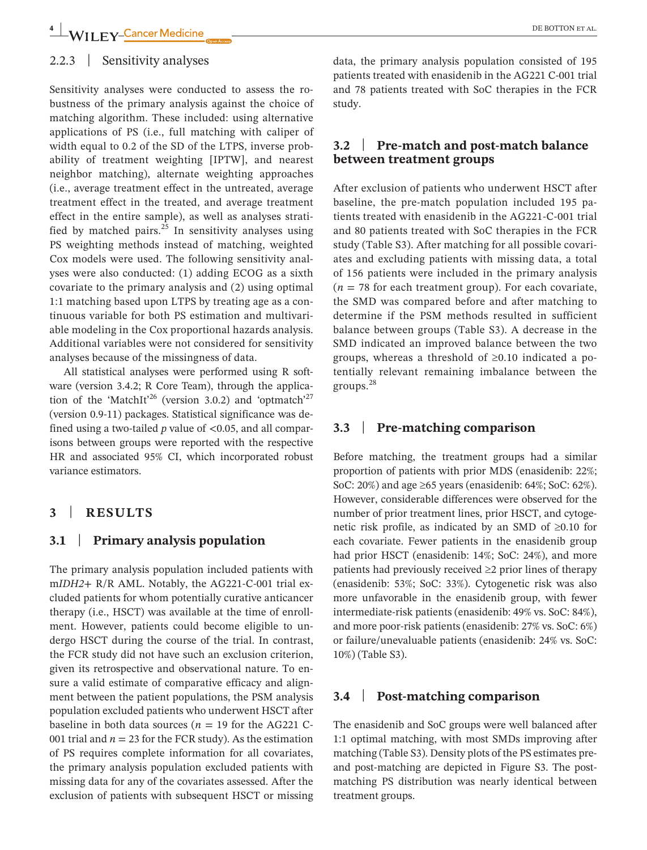# 2.2.3 | Sensitivity analyses

Sensitivity analyses were conducted to assess the robustness of the primary analysis against the choice of matching algorithm. These included: using alternative applications of PS (i.e., full matching with caliper of width equal to 0.2 of the SD of the LTPS, inverse probability of treatment weighting [IPTW], and nearest neighbor matching), alternate weighting approaches (i.e., average treatment effect in the untreated, average treatment effect in the treated, and average treatment effect in the entire sample), as well as analyses stratified by matched pairs. $^{25}$  In sensitivity analyses using PS weighting methods instead of matching, weighted Cox models were used. The following sensitivity analyses were also conducted: (1) adding ECOG as a sixth covariate to the primary analysis and (2) using optimal 1:1 matching based upon LTPS by treating age as a continuous variable for both PS estimation and multivariable modeling in the Cox proportional hazards analysis. Additional variables were not considered for sensitivity analyses because of the missingness of data.

All statistical analyses were performed using R software (version 3.4.2; R Core Team), through the application of the 'MatchIt'<sup>26</sup> (version 3.0.2) and 'optmatch'<sup>27</sup> (version 0.9-11) packages. Statistical significance was defined using a two-tailed *p* value of <0.05, and all comparisons between groups were reported with the respective HR and associated 95% CI, which incorporated robust variance estimators.

## **3** | **RESULTS**

#### **3.1** | **Primary analysis population**

The primary analysis population included patients with m*IDH2*+ R/R AML. Notably, the AG221-C-001 trial excluded patients for whom potentially curative anticancer therapy (i.e., HSCT) was available at the time of enrollment. However, patients could become eligible to undergo HSCT during the course of the trial. In contrast, the FCR study did not have such an exclusion criterion, given its retrospective and observational nature. To ensure a valid estimate of comparative efficacy and alignment between the patient populations, the PSM analysis population excluded patients who underwent HSCT after baseline in both data sources ( $n = 19$  for the AG221 C-001 trial and  $n = 23$  for the FCR study). As the estimation of PS requires complete information for all covariates, the primary analysis population excluded patients with missing data for any of the covariates assessed. After the exclusion of patients with subsequent HSCT or missing data, the primary analysis population consisted of 195 patients treated with enasidenib in the AG221 C-001 trial and 78 patients treated with SoC therapies in the FCR study.

# **3.2** | **Pre-match and post-match balance between treatment groups**

After exclusion of patients who underwent HSCT after baseline, the pre-match population included 195 patients treated with enasidenib in the AG221-C-001 trial and 80 patients treated with SoC therapies in the FCR study (Table S3). After matching for all possible covariates and excluding patients with missing data, a total of 156 patients were included in the primary analysis  $(n = 78$  for each treatment group). For each covariate, the SMD was compared before and after matching to determine if the PSM methods resulted in sufficient balance between groups (Table S3). A decrease in the SMD indicated an improved balance between the two groups, whereas a threshold of ≥0.10 indicated a potentially relevant remaining imbalance between the groups.<sup>28</sup>

# **3.3** | **Pre-matching comparison**

Before matching, the treatment groups had a similar proportion of patients with prior MDS (enasidenib: 22%; SoC: 20%) and age ≥65 years (enasidenib: 64%; SoC: 62%). However, considerable differences were observed for the number of prior treatment lines, prior HSCT, and cytogenetic risk profile, as indicated by an SMD of ≥0.10 for each covariate. Fewer patients in the enasidenib group had prior HSCT (enasidenib: 14%; SoC: 24%), and more patients had previously received ≥2 prior lines of therapy (enasidenib: 53%; SoC: 33%). Cytogenetic risk was also more unfavorable in the enasidenib group, with fewer intermediate-risk patients (enasidenib: 49% vs. SoC: 84%), and more poor-risk patients (enasidenib: 27% vs. SoC: 6%) or failure/unevaluable patients (enasidenib: 24% vs. SoC: 10%) (Table S3).

#### **3.4** | **Post-matching comparison**

The enasidenib and SoC groups were well balanced after 1:1 optimal matching, with most SMDs improving after matching (Table S3). Density plots of the PS estimates preand post-matching are depicted in Figure S3. The postmatching PS distribution was nearly identical between treatment groups.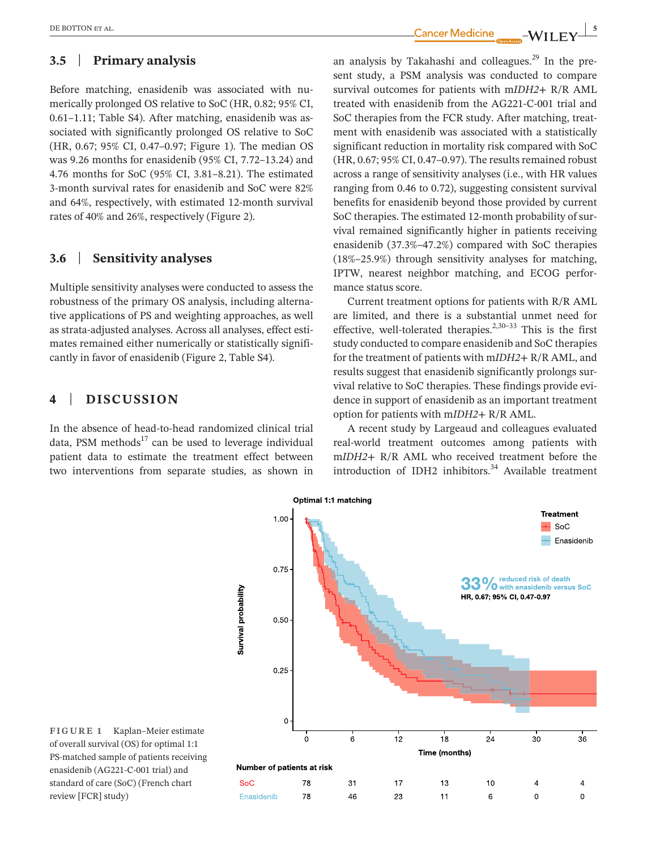# **3.5** | **Primary analysis**

Before matching, enasidenib was associated with numerically prolonged OS relative to SoC (HR, 0.82; 95% CI, 0.61–1.11; Table S4). After matching, enasidenib was associated with significantly prolonged OS relative to SoC (HR, 0.67; 95% CI, 0.47–0.97; Figure 1). The median OS was 9.26 months for enasidenib (95% CI, 7.72–13.24) and 4.76 months for SoC (95% CI, 3.81–8.21). The estimated 3-month survival rates for enasidenib and SoC were 82% and 64%, respectively, with estimated 12-month survival rates of 40% and 26%, respectively (Figure 2).

# **3.6** | **Sensitivity analyses**

Multiple sensitivity analyses were conducted to assess the robustness of the primary OS analysis, including alternative applications of PS and weighting approaches, as well as strata-adjusted analyses. Across all analyses, effect estimates remained either numerically or statistically significantly in favor of enasidenib (Figure 2, Table S4).

# **4** | **DISCUSSION**

In the absence of head-to-head randomized clinical trial data, PSM methods $17$  can be used to leverage individual patient data to estimate the treatment effect between two interventions from separate studies, as shown in

**EXECUTON ET AL. Cancer Medicine \_\_\_\_\_WII FV** 

an analysis by Takahashi and colleagues. $^{29}$  In the present study, a PSM analysis was conducted to compare survival outcomes for patients with m*IDH2*+ R/R AML treated with enasidenib from the AG221-C-001 trial and SoC therapies from the FCR study. After matching, treatment with enasidenib was associated with a statistically significant reduction in mortality risk compared with SoC  $(HR, 0.67; 95\% \text{ CI}, 0.47-0.97)$ . The results remained robust across a range of sensitivity analyses (i.e., with HR values ranging from 0.46 to 0.72), suggesting consistent survival benefits for enasidenib beyond those provided by current SoC therapies. The estimated 12-month probability of survival remained significantly higher in patients receiving enasidenib (37.3%–47.2%) compared with SoC therapies (18%–25.9%) through sensitivity analyses for matching, IPTW, nearest neighbor matching, and ECOG performance status score.

Current treatment options for patients with R/R AML are limited, and there is a substantial unmet need for effective, well-tolerated therapies.<sup>2,30-33</sup> This is the first study conducted to compare enasidenib and SoC therapies for the treatment of patients with m*IDH2*+ R/R AML, and results suggest that enasidenib significantly prolongs survival relative to SoC therapies. These findings provide evidence in support of enasidenib as an important treatment option for patients with m*IDH2*+ R/R AML.

A recent study by Largeaud and colleagues evaluated real-world treatment outcomes among patients with m*IDH2*+ R/R AML who received treatment before the introduction of IDH2 inhibitors.<sup>34</sup> Available treatment



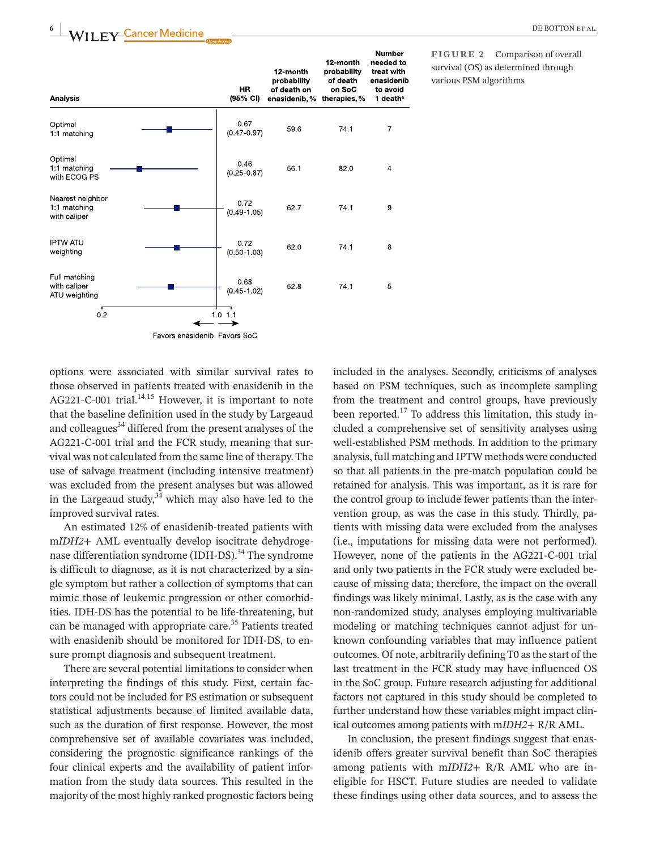

**FIGURE 2** Comparison of overall survival (OS) as determined through various PSM algorithms

options were associated with similar survival rates to those observed in patients treated with enasidenib in the AG221-C-001 trial.<sup>14,15</sup> However, it is important to note that the baseline definition used in the study by Largeaud and colleagues<sup>34</sup> differed from the present analyses of the AG221-C-001 trial and the FCR study, meaning that survival was not calculated from the same line of therapy. The use of salvage treatment (including intensive treatment) was excluded from the present analyses but was allowed in the Largeaud study,  $3\frac{3}{4}$  which may also have led to the improved survival rates.

An estimated 12% of enasidenib-treated patients with m*IDH2*+ AML eventually develop isocitrate dehydrogenase differentiation syndrome (IDH-DS).<sup>34</sup> The syndrome is difficult to diagnose, as it is not characterized by a single symptom but rather a collection of symptoms that can mimic those of leukemic progression or other comorbidities. IDH-DS has the potential to be life-threatening, but can be managed with appropriate care.<sup>35</sup> Patients treated with enasidenib should be monitored for IDH-DS, to ensure prompt diagnosis and subsequent treatment.

There are several potential limitations to consider when interpreting the findings of this study. First, certain factors could not be included for PS estimation or subsequent statistical adjustments because of limited available data, such as the duration of first response. However, the most comprehensive set of available covariates was included, considering the prognostic significance rankings of the four clinical experts and the availability of patient information from the study data sources. This resulted in the majority of the most highly ranked prognostic factors being

included in the analyses. Secondly, criticisms of analyses based on PSM techniques, such as incomplete sampling from the treatment and control groups, have previously been reported.<sup>17</sup> To address this limitation, this study included a comprehensive set of sensitivity analyses using well-established PSM methods. In addition to the primary analysis, full matching and IPTW methods were conducted so that all patients in the pre-match population could be retained for analysis. This was important, as it is rare for the control group to include fewer patients than the intervention group, as was the case in this study. Thirdly, patients with missing data were excluded from the analyses (i.e., imputations for missing data were not performed). However, none of the patients in the AG221-C-001 trial and only two patients in the FCR study were excluded because of missing data; therefore, the impact on the overall findings was likely minimal. Lastly, as is the case with any non-randomized study, analyses employing multivariable modeling or matching techniques cannot adjust for unknown confounding variables that may influence patient outcomes. Of note, arbitrarily defining T0 as the start of the last treatment in the FCR study may have influenced OS in the SoC group. Future research adjusting for additional factors not captured in this study should be completed to further understand how these variables might impact clinical outcomes among patients with m*IDH2*+ R/R AML.

In conclusion, the present findings suggest that enasidenib offers greater survival benefit than SoC therapies among patients with m*IDH2*+ R/R AML who are ineligible for HSCT. Future studies are needed to validate these findings using other data sources, and to assess the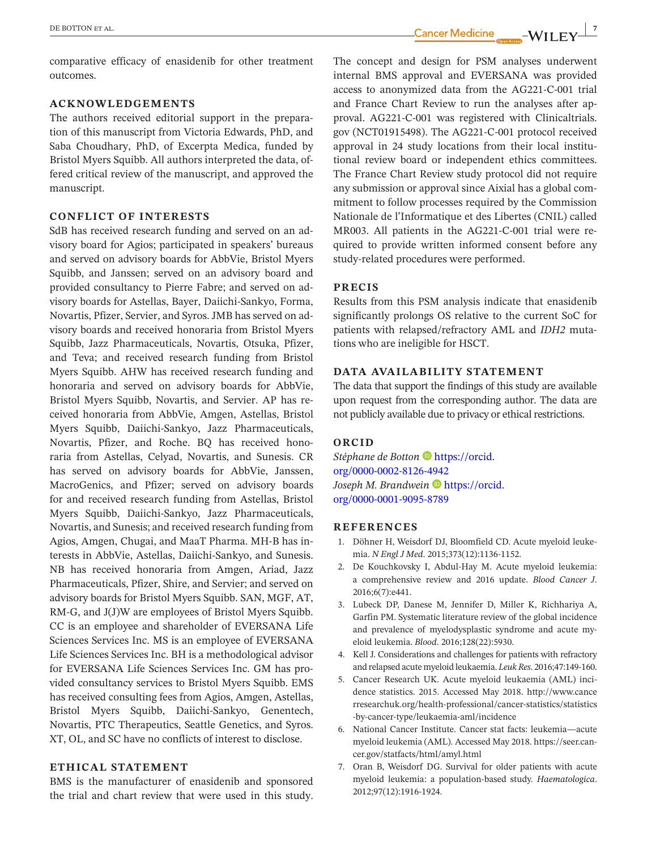comparative efficacy of enasidenib for other treatment outcomes.

## **ACKNOWLEDGEMENTS**

The authors received editorial support in the preparation of this manuscript from Victoria Edwards, PhD, and Saba Choudhary, PhD, of Excerpta Medica, funded by Bristol Myers Squibb. All authors interpreted the data, offered critical review of the manuscript, and approved the manuscript.

#### **CONFLICT OF INTERESTS**

SdB has received research funding and served on an advisory board for Agios; participated in speakers' bureaus and served on advisory boards for AbbVie, Bristol Myers Squibb, and Janssen; served on an advisory board and provided consultancy to Pierre Fabre; and served on advisory boards for Astellas, Bayer, Daiichi-Sankyo, Forma, Novartis, Pfizer, Servier, and Syros. JMB has served on advisory boards and received honoraria from Bristol Myers Squibb, Jazz Pharmaceuticals, Novartis, Otsuka, Pfizer, and Teva; and received research funding from Bristol Myers Squibb. AHW has received research funding and honoraria and served on advisory boards for AbbVie, Bristol Myers Squibb, Novartis, and Servier. AP has received honoraria from AbbVie, Amgen, Astellas, Bristol Myers Squibb, Daiichi-Sankyo, Jazz Pharmaceuticals, Novartis, Pfizer, and Roche. BQ has received honoraria from Astellas, Celyad, Novartis, and Sunesis. CR has served on advisory boards for AbbVie, Janssen, MacroGenics, and Pfizer; served on advisory boards for and received research funding from Astellas, Bristol Myers Squibb, Daiichi-Sankyo, Jazz Pharmaceuticals, Novartis, and Sunesis; and received research funding from Agios, Amgen, Chugai, and MaaT Pharma. MH-B has interests in AbbVie, Astellas, Daiichi-Sankyo, and Sunesis. NB has received honoraria from Amgen, Ariad, Jazz Pharmaceuticals, Pfizer, Shire, and Servier; and served on advisory boards for Bristol Myers Squibb. SAN, MGF, AT, RM-G, and J(J)W are employees of Bristol Myers Squibb. CC is an employee and shareholder of EVERSANA Life Sciences Services Inc. MS is an employee of EVERSANA Life Sciences Services Inc. BH is a methodological advisor for EVERSANA Life Sciences Services Inc. GM has provided consultancy services to Bristol Myers Squibb. EMS has received consulting fees from Agios, Amgen, Astellas, Bristol Myers Squibb, Daiichi-Sankyo, Genentech, Novartis, PTC Therapeutics, Seattle Genetics, and Syros. XT, OL, and SC have no conflicts of interest to disclose.

## **ETHICAL STATEMENT**

BMS is the manufacturer of enasidenib and sponsored the trial and chart review that were used in this study.

 **|** DE BOTTON et al. **7**

The concept and design for PSM analyses underwent internal BMS approval and EVERSANA was provided access to anonymized data from the AG221-C-001 trial and France Chart Review to run the analyses after approval. AG221-C-001 was registered with Clinicaltrials. gov (NCT01915498). The AG221-C-001 protocol received approval in 24 study locations from their local institutional review board or independent ethics committees. The France Chart Review study protocol did not require any submission or approval since Aixial has a global commitment to follow processes required by the Commission Nationale de l'Informatique et des Libertes (CNIL) called MR003. All patients in the AG221-C-001 trial were required to provide written informed consent before any study-related procedures were performed.

#### **PRECIS**

Results from this PSM analysis indicate that enasidenib significantly prolongs OS relative to the current SoC for patients with relapsed/refractory AML and *IDH2* mutations who are ineligible for HSCT.

#### **DATA AVAILABILITY STATEMENT**

The data that support the findings of this study are available upon request from the corresponding author. The data are not publicly available due to privacy or ethical restrictions.

#### **ORCID**

*Stéphane de Botton* **[https://orcid.](https://orcid.org/0000-0002-8126-4942)** [org/0000-0002-8126-4942](https://orcid.org/0000-0002-8126-4942) *Joseph M. Brandwein* **D** [https://orcid.](https://orcid.org/0000-0001-9095-8789) [org/0000-0001-9095-8789](https://orcid.org/0000-0001-9095-8789)

#### **REFERENCES**

- 1. Döhner H, Weisdorf DJ, Bloomfield CD. Acute myeloid leukemia. *N Engl J Med*. 2015;373(12):1136-1152.
- 2. De Kouchkovsky I, Abdul-Hay M. Acute myeloid leukemia: a comprehensive review and 2016 update. *Blood Cancer J*. 2016;6(7):e441.
- 3. Lubeck DP, Danese M, Jennifer D, Miller K, Richhariya A, Garfin PM. Systematic literature review of the global incidence and prevalence of myelodysplastic syndrome and acute myeloid leukemia. *Blood*. 2016;128(22):5930.
- 4. Kell J. Considerations and challenges for patients with refractory and relapsed acute myeloid leukaemia. *Leuk Res*. 2016;47:149-160.
- 5. Cancer Research UK. Acute myeloid leukaemia (AML) incidence statistics. 2015. Accessed May 2018. [http://www.cance](http://www.cancerresearchuk.org/health-professional/cancer-statistics/statistics-by-cancer-type/leukaemia-aml/incidence) [rresearchuk.org/health-professional/cancer-statistics/statistics](http://www.cancerresearchuk.org/health-professional/cancer-statistics/statistics-by-cancer-type/leukaemia-aml/incidence) [-by-cancer-type/leukaemia-aml/incidence](http://www.cancerresearchuk.org/health-professional/cancer-statistics/statistics-by-cancer-type/leukaemia-aml/incidence)
- 6. National Cancer Institute. Cancer stat facts: leukemia—acute myeloid leukemia (AML). Accessed May 2018. [https://seer.can](https://seer.cancer.gov/statfacts/html/amyl.html)[cer.gov/statfacts/html/amyl.html](https://seer.cancer.gov/statfacts/html/amyl.html)
- 7. Oran B, Weisdorf DG. Survival for older patients with acute myeloid leukemia: a population-based study. *Haematologica*. 2012;97(12):1916-1924.